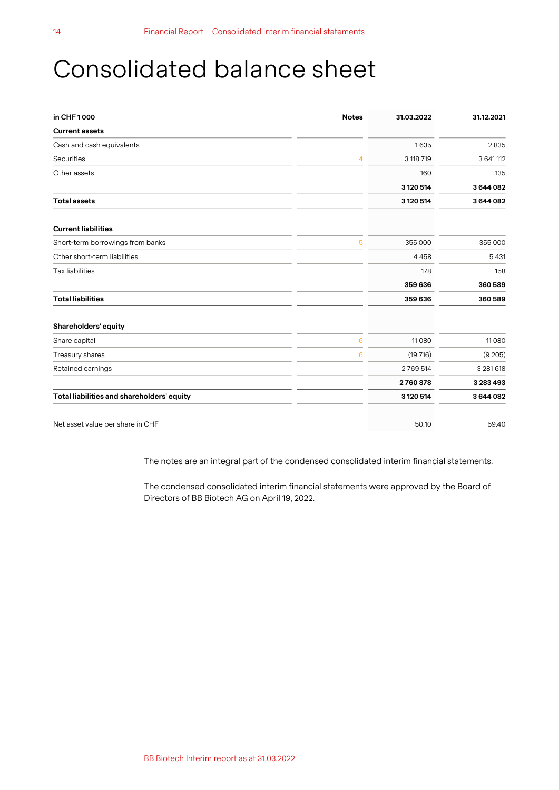## Consolidated balance sheet

| in CHF1000                                 | <b>Notes</b> | 31.03.2022 | 31.12.2021 |
|--------------------------------------------|--------------|------------|------------|
| <b>Current assets</b>                      |              |            |            |
| Cash and cash equivalents                  |              | 1635       | 2835       |
| Securities                                 | 4            | 3 118 719  | 3 641 112  |
| Other assets                               |              | 160        | 135        |
|                                            |              | 3 120 514  | 3644082    |
| <b>Total assets</b>                        |              | 3 120 514  | 3644082    |
| <b>Current liabilities</b>                 |              |            |            |
| Short-term borrowings from banks           | 5            | 355 000    | 355 000    |
| Other short-term liabilities               |              | 4458       | 5 4 31     |
| <b>Tax liabilities</b>                     |              | 178        | 158        |
|                                            |              | 359 636    | 360589     |
| <b>Total liabilities</b>                   |              | 359 636    | 360589     |
| Shareholders' equity                       |              |            |            |
| Share capital                              | 6            | 11 0 8 0   | 11 0 8 0   |
| Treasury shares                            | 6            | (19716)    | (9 205)    |
| Retained earnings                          |              | 2769514    | 3 281 618  |
|                                            |              | 2760878    | 3 283 493  |
| Total liabilities and shareholders' equity |              | 3 120 514  | 3644082    |
| Net asset value per share in CHF           |              | 50.10      | 59.40      |

The notes are an integral part of the condensed consolidated interim financial statements.

The condensed consolidated interim financial statements were approved by the Board of Directors of BB Biotech AG on April 19, 2022.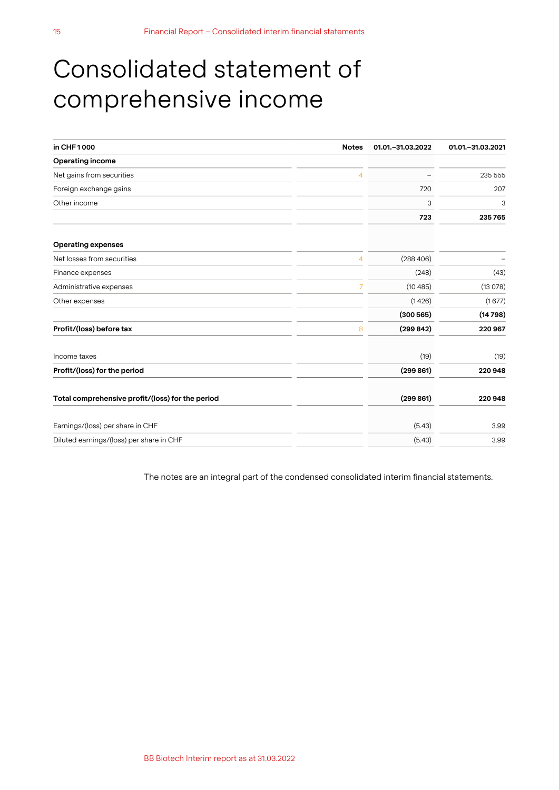# Consolidated statement of comprehensive income

| in CHF1000<br><b>Notes</b>                       | 01.01. - 31.03.2022 | 01.01. - 31.03.2021 |
|--------------------------------------------------|---------------------|---------------------|
| <b>Operating income</b>                          |                     |                     |
| Net gains from securities<br>4                   |                     | 235 555             |
| Foreign exchange gains                           | 720                 | 207                 |
| Other income                                     | 3                   | 3                   |
|                                                  | 723                 | 235765              |
| <b>Operating expenses</b>                        |                     |                     |
| Net losses from securities<br>4                  | (288406)            |                     |
| Finance expenses                                 | (248)               | (43)                |
| Administrative expenses<br>$\overline{7}$        | (10485)             | (13078)             |
| Other expenses                                   | (1426)              | (1677)              |
|                                                  | (300565)            | (14798)             |
| Profit/(loss) before tax<br>8                    | (299842)            | 220 967             |
| Income taxes                                     | (19)                | (19)                |
| Profit/(loss) for the period                     | (299861)            | 220948              |
| Total comprehensive profit/(loss) for the period | (299 861)           | 220948              |
| Earnings/(loss) per share in CHF                 | (5.43)              | 3.99                |
| Diluted earnings/(loss) per share in CHF         | (5.43)              | 3.99                |

The notes are an integral part of the condensed consolidated interim financial statements.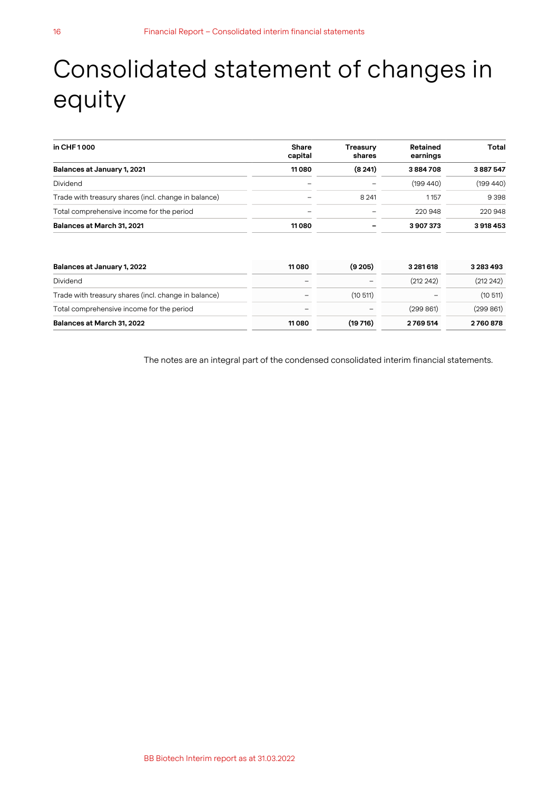# Consolidated statement of changes in equity

| in CHF 1000                                          | <b>Share</b><br>capital  | Treasury<br>shares | Retained<br>earnings | Total    |
|------------------------------------------------------|--------------------------|--------------------|----------------------|----------|
| Balances at January 1, 2021                          | 11080                    | (8, 241)           | 3884708              | 3887547  |
| <b>Dividend</b>                                      | $\overline{\phantom{0}}$ |                    | (199440)             | (199440) |
| Trade with treasury shares (incl. change in balance) |                          | 8 2 4 1            | 1157                 | 9 3 9 8  |
| Total comprehensive income for the period            |                          |                    | 220 948              | 220 948  |
| Balances at March 31, 2021                           | 11080                    |                    | 3907373              | 3918453  |

| Balances at January 1, 2022                          | 11 080 | (9,205)                  | 3 2 8 1 6 1 8            | 3 2 8 3 4 9 3 |
|------------------------------------------------------|--------|--------------------------|--------------------------|---------------|
| Dividend                                             | -      | $\overline{\phantom{a}}$ | (212 242)                | (212 242)     |
| Trade with treasury shares (incl. change in balance) | -      | (10, 511)                | $\overline{\phantom{a}}$ | (10511)       |
| Total comprehensive income for the period            | -      | $\qquad \qquad$          | (299861)                 | (299 861)     |
| Balances at March 31, 2022                           | 11080  | (19716)                  | 2769514                  | 2760878       |

The notes are an integral part of the condensed consolidated interim financial statements.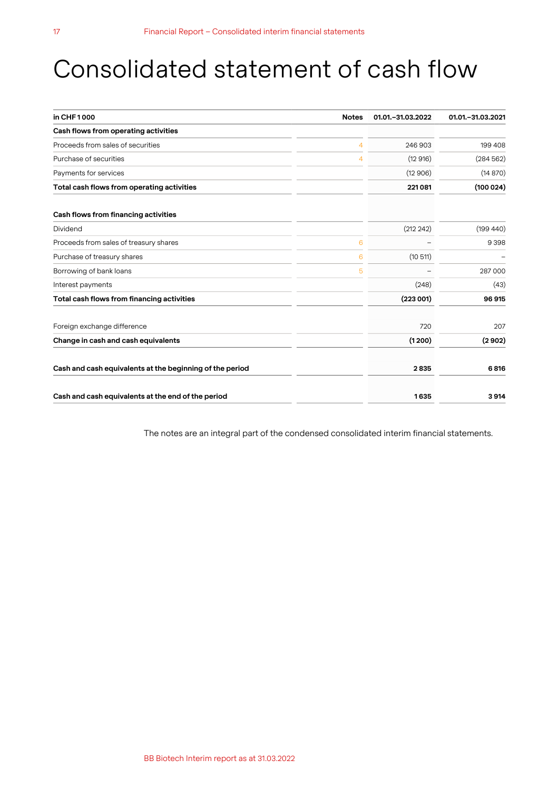## Consolidated statement of cash flow

| in CHF1000                                               | <b>Notes</b> | 01.01. - 31.03.2022 | 01.01. - 31.03.2021 |
|----------------------------------------------------------|--------------|---------------------|---------------------|
| Cash flows from operating activities                     |              |                     |                     |
| Proceeds from sales of securities                        | 4            | 246 903             | 199 408             |
| Purchase of securities                                   | 4            | (12916)             | (284562)            |
| Payments for services                                    |              | (12906)             | (14870)             |
| Total cash flows from operating activities               |              | 221081              | (100024)            |
| Cash flows from financing activities                     |              |                     |                     |
| Dividend                                                 |              | (212 242)           | (199 440)           |
| Proceeds from sales of treasury shares                   | 6            |                     | 9398                |
| Purchase of treasury shares                              | 6            | (10511)             |                     |
| Borrowing of bank loans                                  | 5            |                     | 287 000             |
| Interest payments                                        |              | (248)               | (43)                |
| Total cash flows from financing activities               |              | (223001)            | 96 915              |
| Foreign exchange difference                              |              | 720                 | 207                 |
| Change in cash and cash equivalents                      |              | (1200)              | (2902)              |
| Cash and cash equivalents at the beginning of the period |              | 2835                | 6816                |
| Cash and cash equivalents at the end of the period       |              | 1635                | 3914                |

The notes are an integral part of the condensed consolidated interim financial statements.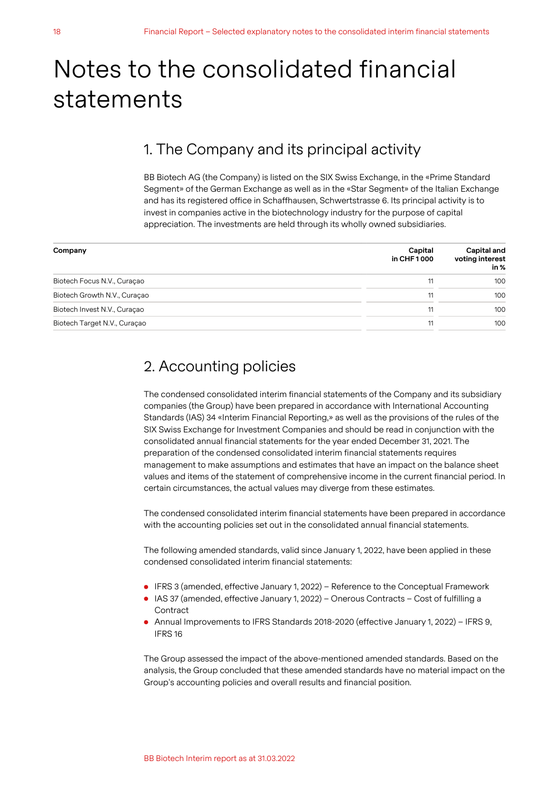# Notes to the consolidated financial statements

### 1. The Company and its principal activity

BB Biotech AG (the Company) is listed on the SIX Swiss Exchange, in the «Prime Standard Segment» of the German Exchange as well as in the «Star Segment» of the Italian Exchange and has its registered office in Schaffhausen, Schwertstrasse 6. Its principal activity is to invest in companies active in the biotechnology industry for the purpose of capital appreciation. The investments are held through its wholly owned subsidiaries.

| Company                      | Capital<br>in CHF 1000 | Capital and<br>voting interest<br>in % |
|------------------------------|------------------------|----------------------------------------|
| Biotech Focus N.V., Curaçao  | 11                     | 100                                    |
| Biotech Growth N.V., Curacao | 11                     | 100                                    |
| Biotech Invest N.V., Curaçao | 11                     | 100                                    |
| Biotech Target N.V., Curaçao | 11                     | 100                                    |

### 2. Accounting policies

The condensed consolidated interim financial statements of the Company and its subsidiary companies (the Group) have been prepared in accordance with International Accounting Standards (IAS) 34 «Interim Financial Reporting,» as well as the provisions of the rules of the SIX Swiss Exchange for Investment Companies and should be read in conjunction with the consolidated annual financial statements for the year ended December 31, 2021. The preparation of the condensed consolidated interim financial statements requires management to make assumptions and estimates that have an impact on the balance sheet values and items of the statement of comprehensive income in the current financial period. In certain circumstances, the actual values may diverge from these estimates.

The condensed consolidated interim financial statements have been prepared in accordance with the accounting policies set out in the consolidated annual financial statements.

The following amended standards, valid since January 1, 2022, have been applied in these condensed consolidated interim financial statements:

- IFRS 3 (amended, effective January 1, 2022) Reference to the Conceptual Framework
- IAS 37 (amended, effective January 1, 2022) Onerous Contracts Cost of fulfilling a **Contract**
- Annual Improvements to IFRS Standards 2018-2020 (effective January 1, 2022) IFRS 9, IFRS 16

The Group assessed the impact of the above-mentioned amended standards. Based on the analysis, the Group concluded that these amended standards have no material impact on the Group's accounting policies and overall results and financial position.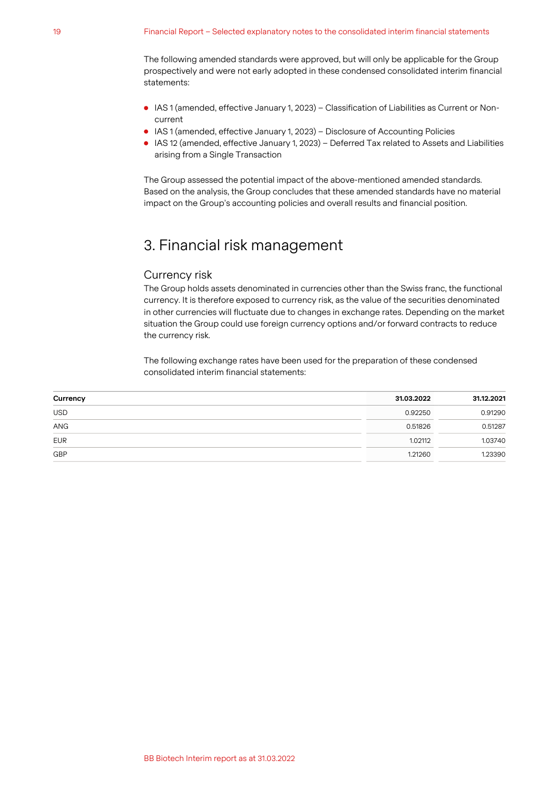The following amended standards were approved, but will only be applicable for the Group prospectively and were not early adopted in these condensed consolidated interim financial statements:

- IAS 1 (amended, effective January 1, 2023) Classification of Liabilities as Current or Noncurrent
- IAS 1 (amended, effective January 1, 2023) Disclosure of Accounting Policies
- IAS 12 (amended, effective January 1, 2023) Deferred Tax related to Assets and Liabilities arising from a Single Transaction

The Group assessed the potential impact of the above-mentioned amended standards. Based on the analysis, the Group concludes that these amended standards have no material impact on the Group's accounting policies and overall results and financial position.

## 3. Financial risk management

#### Currency risk

The Group holds assets denominated in currencies other than the Swiss franc, the functional currency. It is therefore exposed to currency risk, as the value of the securities denominated in other currencies will fluctuate due to changes in exchange rates. Depending on the market situation the Group could use foreign currency options and/or forward contracts to reduce the currency risk.

The following exchange rates have been used for the preparation of these condensed consolidated interim financial statements:

| Currency   | 31.03.2022 | 31.12.2021 |
|------------|------------|------------|
| <b>USD</b> | 0.92250    | 0.91290    |
| ANG        | 0.51826    | 0.51287    |
| <b>EUR</b> | 1.02112    | 1.03740    |
| GBP        | 1.21260    | 1.23390    |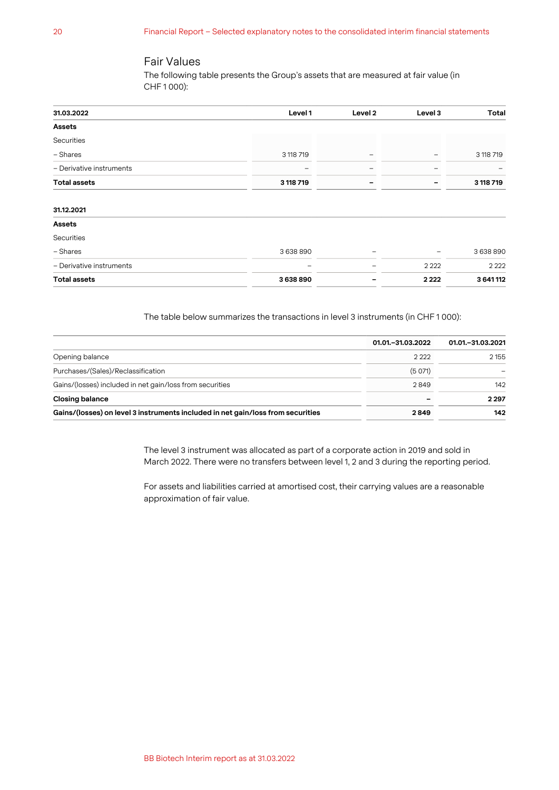#### Fair Values

The following table presents the Group's assets that are measured at fair value (in CHF 1 000):

| 31.03.2022               | Level 1   | Level 2 | Level 3 | <b>Total</b> |
|--------------------------|-----------|---------|---------|--------------|
| <b>Assets</b>            |           |         |         |              |
| Securities               |           |         |         |              |
| - Shares                 | 3 118 719 | -       | -       | 3 118 719    |
| - Derivative instruments |           |         |         |              |
| <b>Total assets</b>      | 3 118 719 | -       |         | 3 118 719    |
|                          |           |         |         |              |
| 31.12.2021               |           |         |         |              |
| <b>Assets</b>            |           |         |         |              |
| Securities               |           |         |         |              |
| - Shares                 | 3638890   |         | -       | 3638890      |
| - Derivative instruments |           |         | 2 2 2 2 | 2 2 2 2      |
| <b>Total assets</b>      | 3638890   |         | 2 2 2 2 | 3 641 112    |

The table below summarizes the transactions in level 3 instruments (in CHF 1 000):

|                                                                                 | 01.01. - 31.03.2022 | 01.01. - 31.03.2021 |
|---------------------------------------------------------------------------------|---------------------|---------------------|
| Opening balance                                                                 | 2222                | 2 155               |
| Purchases/(Sales)/Reclassification                                              | (5071)              |                     |
| Gains/(losses) included in net gain/loss from securities                        | 2849                | 142                 |
| <b>Closing balance</b>                                                          |                     | 2 2 9 7             |
| Gains/(losses) on level 3 instruments included in net gain/loss from securities | 2849                | 142                 |

The level 3 instrument was allocated as part of a corporate action in 2019 and sold in March 2022. There were no transfers between level 1, 2 and 3 during the reporting period.

For assets and liabilities carried at amortised cost, their carrying values are a reasonable approximation of fair value.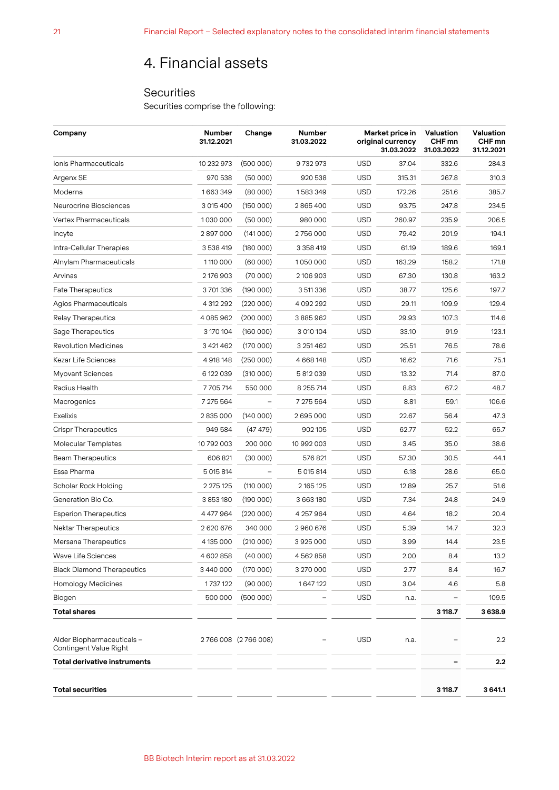## 4. Financial assets

#### **Securities**

Securities comprise the following:

| Company                                              | <b>Number</b><br>31.12.2021 | Change            | <b>Number</b><br>31.03.2022 |            | Market price in<br>original currency<br>31.03.2022 |         | Valuation<br>CHF mn<br>31.12.2021 |
|------------------------------------------------------|-----------------------------|-------------------|-----------------------------|------------|----------------------------------------------------|---------|-----------------------------------|
| Ionis Pharmaceuticals                                | 10 232 973                  | (500000)          | 9732973                     | <b>USD</b> | 37.04                                              | 332.6   | 284.3                             |
| Argenx SE                                            | 970 538                     | (50000)           | 920 538                     | <b>USD</b> | 315.31                                             | 267.8   | 310.3                             |
| Moderna                                              | 1663349                     | (80000)           | 1583349                     | <b>USD</b> | 172.26                                             | 251.6   | 385.7                             |
| Neurocrine Biosciences                               | 3 015 400                   | (150000)          | 2865400                     | <b>USD</b> | 93.75                                              | 247.8   | 234.5                             |
| Vertex Pharmaceuticals                               | 1030000                     | (50000)           | 980 000                     | <b>USD</b> | 260.97                                             | 235.9   | 206.5                             |
| Incyte                                               | 2897000                     | (141000)          | 2756000                     | <b>USD</b> | 79.42                                              | 201.9   | 194.1                             |
| Intra-Cellular Therapies                             | 3 538 419                   | (180000)          | 3 3 5 8 4 1 9               | <b>USD</b> | 61.19                                              | 189.6   | 169.1                             |
| Alnylam Pharmaceuticals                              | 1110 000                    | (60000)           | 1050000                     | <b>USD</b> | 163.29                                             | 158.2   | 171.8                             |
| Arvinas                                              | 2176903                     | (70000)           | 2 106 903                   | <b>USD</b> | 67.30                                              | 130.8   | 163.2                             |
| <b>Fate Therapeutics</b>                             | 3701336                     | (190000)          | 3 511 336                   | <b>USD</b> | 38.77                                              | 125.6   | 197.7                             |
| Agios Pharmaceuticals                                | 4 312 292                   | (220000)          | 4 092 292                   | <b>USD</b> | 29.11                                              | 109.9   | 129.4                             |
| <b>Relay Therapeutics</b>                            | 4085962                     | (200000)          | 3885962                     | <b>USD</b> | 29.93                                              | 107.3   | 114.6                             |
| Sage Therapeutics                                    | 3 170 104                   | (160000)          | 3 010 104                   | <b>USD</b> | 33.10                                              | 91.9    | 123.1                             |
| <b>Revolution Medicines</b>                          | 3 421 462                   | (170000)          | 3 251 462                   | <b>USD</b> | 25.51                                              | 76.5    | 78.6                              |
| Kezar Life Sciences                                  | 4 918 148                   | (250000)          | 4 668 148                   | <b>USD</b> | 16.62                                              | 71.6    | 75.1                              |
| <b>Myovant Sciences</b>                              | 6 122 039                   | (310000)          | 5 812 039                   | <b>USD</b> | 13.32                                              | 71.4    | 87.0                              |
| Radius Health                                        | 7705714                     | 550 000           | 8 255 714                   | <b>USD</b> | 8.83                                               | 67.2    | 48.7                              |
| Macrogenics                                          | 7 275 564                   |                   | 7 275 564                   | <b>USD</b> | 8.81                                               | 59.1    | 106.6                             |
| Exelixis                                             | 2835000                     | (140000)          | 2695000                     | <b>USD</b> | 22.67                                              | 56.4    | 47.3                              |
| <b>Crispr Therapeutics</b>                           | 949 584                     | (47 479)          | 902 105                     | <b>USD</b> | 62.77                                              | 52.2    | 65.7                              |
| <b>Molecular Templates</b>                           | 10 792 003                  | 200 000           | 10 992 003                  | <b>USD</b> | 3.45                                               | 35.0    | 38.6                              |
| <b>Beam Therapeutics</b>                             | 606 821                     | (30000)           | 576821                      | <b>USD</b> | 57.30                                              | 30.5    | 44.1                              |
| Essa Pharma                                          | 5 015 814                   |                   | 5 015 814                   | <b>USD</b> | 6.18                                               | 28.6    | 65.0                              |
| Scholar Rock Holding                                 | 2 275 125                   | (110000)          | 2 165 125                   | <b>USD</b> | 12.89                                              | 25.7    | 51.6                              |
| Generation Bio Co.                                   | 3 853 180                   | (190000)          | 3 663 180                   | <b>USD</b> | 7.34                                               | 24.8    | 24.9                              |
| <b>Esperion Therapeutics</b>                         | 4 477 964                   | (220000)          | 4 257 964                   | <b>USD</b> | 4.64                                               | 18.2    | 20.4                              |
| <b>Nektar Therapeutics</b>                           | 2620676                     | 340 000           | 2960676                     | <b>USD</b> | 5.39                                               | 14.7    | 32.3                              |
| Mersana Therapeutics                                 | 4 135 000                   | (210000)          | 3925000                     | <b>USD</b> | 3.99                                               | 14.4    | 23.5                              |
| Wave Life Sciences                                   | 4 602 858                   | (40000)           | 4562858                     | <b>USD</b> | 2.00                                               | 8.4     | 13.2                              |
| <b>Black Diamond Therapeutics</b>                    | 3440000                     | (170000)          | 3 270 000                   | <b>USD</b> | 2.77                                               | 8.4     | 16.7                              |
| <b>Homology Medicines</b>                            | 1737122                     | (90000)           | 1647122                     | <b>USD</b> | 3.04                                               | 4.6     | 5.8                               |
| Biogen                                               | 500 000                     | (500000)          |                             | <b>USD</b> | n.a.                                               |         | 109.5                             |
| <b>Total shares</b>                                  |                             |                   |                             |            |                                                    | 3 118.7 | 3638.9                            |
| Alder Biopharmaceuticals -<br>Contingent Value Right |                             | 2766008 (2766008) |                             | <b>USD</b> | n.a.                                               |         | 2.2                               |
| Total derivative instruments                         |                             |                   |                             |            |                                                    |         | 2.2                               |
| <b>Total securities</b>                              |                             |                   |                             |            |                                                    | 3 118.7 | 3641.1                            |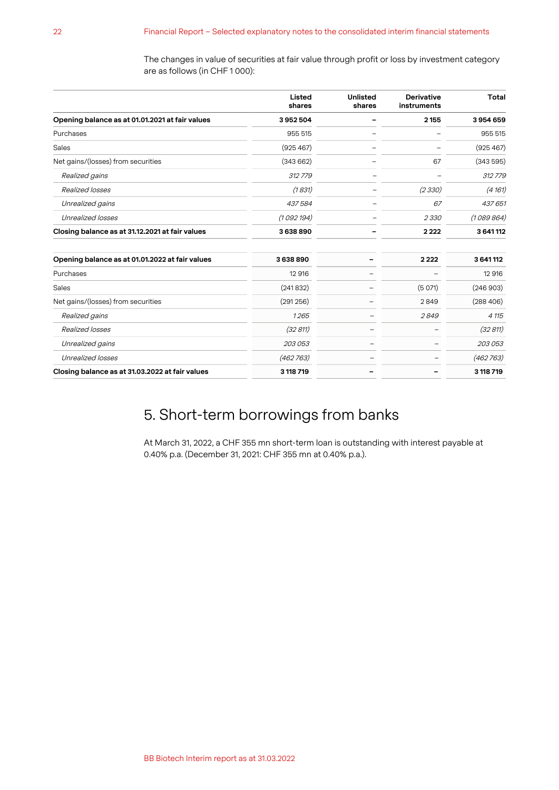The changes in value of securities at fair value through profit or loss by investment category are as follows (in CHF 1 000):

|                                                 | Listed<br>shares | <b>Unlisted</b><br>shares | <b>Derivative</b><br>instruments | <b>Total</b> |
|-------------------------------------------------|------------------|---------------------------|----------------------------------|--------------|
| Opening balance as at 01.01.2021 at fair values | 3952504          |                           | 2 1 5 5                          | 3954659      |
| Purchases                                       | 955 515          |                           |                                  | 955 515      |
| Sales                                           | (925 467)        |                           |                                  | (925 467)    |
| Net gains/(losses) from securities              | (343662)         |                           | 67                               | (343595)     |
| Realized gains                                  | 312779           |                           |                                  | 312779       |
| Realized losses                                 | (1831)           |                           | (2330)                           | (4161)       |
| Unrealized gains                                | 437584           |                           | 67                               | 437 651      |
| Unrealized losses                               | (1092194)        |                           | 2330                             | (1089864)    |
| Closing balance as at 31.12.2021 at fair values | 3638890          |                           | 2222                             | 3 641 112    |
| Opening balance as at 01.01.2022 at fair values | 3638890          |                           | 2222                             | 3 641 112    |
| Purchases                                       | 12 916           |                           |                                  | 12 916       |
| Sales                                           | (241832)         |                           | (5071)                           | (246903)     |
| Net gains/(losses) from securities              | (291256)         |                           | 2849                             | (288406)     |
| Realized gains                                  | 1265             |                           | 2849                             | 4 115        |
| Realized losses                                 | (32811)          |                           |                                  | (32 811)     |
| Unrealized gains                                | 203 053          | ۰                         |                                  | 203 053      |
| Unrealized losses                               | (462763)         |                           |                                  | (462763)     |
| Closing balance as at 31.03.2022 at fair values | 3 118 719        |                           |                                  | 3 118 719    |

## 5. Short-term borrowings from banks

At March 31, 2022, a CHF 355 mn short-term loan is outstanding with interest payable at 0.40% p.a. (December 31, 2021: CHF 355 mn at 0.40% p.a.).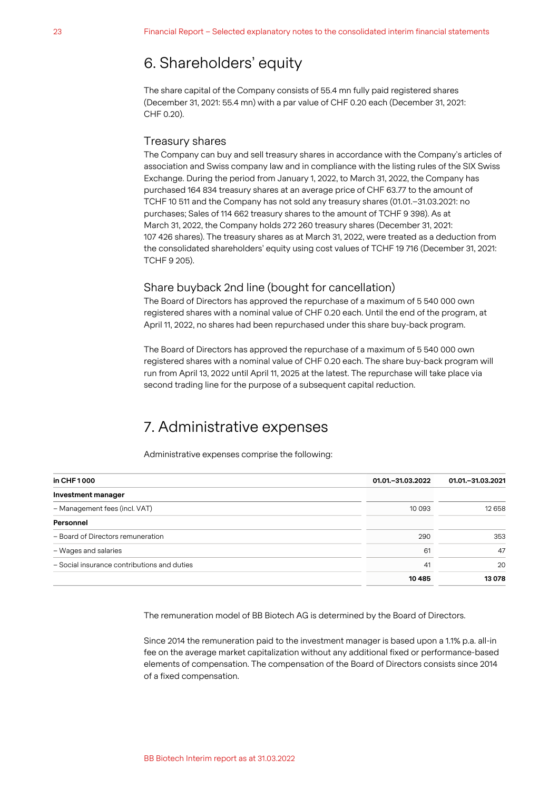## 6. Shareholders' equity

The share capital of the Company consists of 55.4 mn fully paid registered shares (December 31, 2021: 55.4 mn) with a par value of CHF 0.20 each (December 31, 2021: CHF 0.20).

#### Treasury shares

The Company can buy and sell treasury shares in accordance with the Company's articles of association and Swiss company law and in compliance with the listing rules of the SIX Swiss Exchange. During the period from January 1, 2022, to March 31, 2022, the Company has purchased 164 834 treasury shares at an average price of CHF 63.77 to the amount of TCHF 10 511 and the Company has not sold any treasury shares (01.01.–31.03.2021: no purchases; Sales of 114 662 treasury shares to the amount of TCHF 9 398). As at March 31, 2022, the Company holds 272 260 treasury shares (December 31, 2021: 107 426 shares). The treasury shares as at March 31, 2022, were treated as a deduction from the consolidated shareholders' equity using cost values of TCHF 19 716 (December 31, 2021: TCHF 9 205).

#### Share buyback 2nd line (bought for cancellation)

The Board of Directors has approved the repurchase of a maximum of 5 540 000 own registered shares with a nominal value of CHF 0.20 each. Until the end of the program, at April 11, 2022, no shares had been repurchased under this share buy-back program.

The Board of Directors has approved the repurchase of a maximum of 5 540 000 own registered shares with a nominal value of CHF 0.20 each. The share buy-back program will run from April 13, 2022 until April 11, 2025 at the latest. The repurchase will take place via second trading line for the purpose of a subsequent capital reduction.

## 7. Administrative expenses

Administrative expenses comprise the following:

<span id="page-9-0"></span>

| in CHF 1000                                 | 01.01. - 31.03.2022 | 01.01. - 31.03.2021 |
|---------------------------------------------|---------------------|---------------------|
| Investment manager                          |                     |                     |
| - Management fees (incl. VAT)               | 10 0 9 3            | 12 658              |
| Personnel                                   |                     |                     |
| - Board of Directors remuneration           | 290                 | 353                 |
| - Wages and salaries                        | 61                  | 47                  |
| - Social insurance contributions and duties | 41                  | 20                  |
|                                             | 10485               | 13078               |

The remuneration model of BB Biotech AG is determined by the Board of Directors.

Since 2014 the remuneration paid to the investment manager is based upon a 1.1% p.a. all-in fee on the average market capitalization without any additional fixed or performance-based elements of compensation. The compensation of the Board of Directors consists since 2014 of a fixed compensation.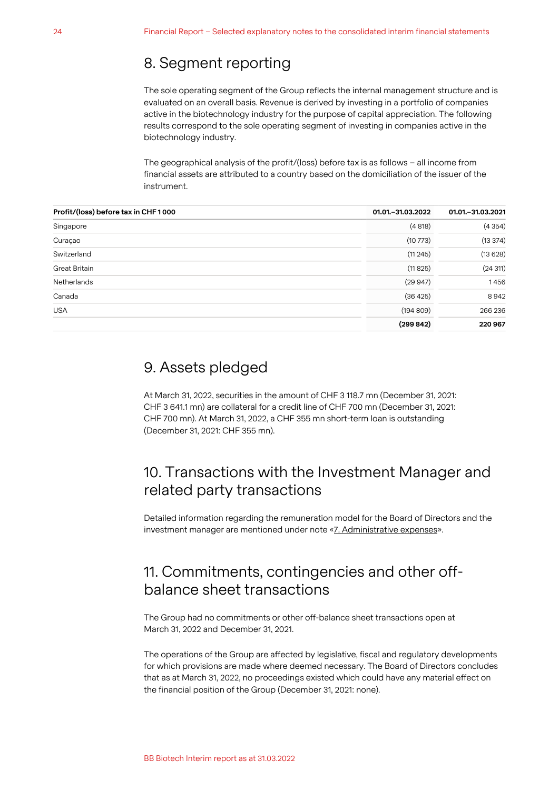### 8. Segment reporting

The sole operating segment of the Group reflects the internal management structure and is evaluated on an overall basis. Revenue is derived by investing in a portfolio of companies active in the biotechnology industry for the purpose of capital appreciation. The following results correspond to the sole operating segment of investing in companies active in the biotechnology industry.

The geographical analysis of the profit/(loss) before tax is as follows – all income from financial assets are attributed to a country based on the domiciliation of the issuer of the instrument.

| Profit/(loss) before tax in CHF1000 | 01.01. - 31.03.2022 | 01.01. - 31.03.2021 |
|-------------------------------------|---------------------|---------------------|
| Singapore                           | (4818)              | (4354)              |
| Curaçao                             | (10773)             | (13374)             |
| Switzerland                         | (11245)             | (13628)             |
| Great Britain                       | (11825)             | (24311)             |
| <b>Netherlands</b>                  | (29947)             | 1456                |
| Canada                              | (36 425)            | 8942                |
| <b>USA</b>                          | (194809)            | 266 236             |
|                                     | (299842)            | 220967              |
|                                     |                     |                     |

### 9. Assets pledged

At March 31, 2022, securities in the amount of CHF 3 118.7 mn (December 31, 2021: CHF 3 641.1 mn) are collateral for a credit line of CHF 700 mn (December 31, 2021: CHF 700 mn). At March 31, 2022, a CHF 355 mn short-term loan is outstanding (December 31, 2021: CHF 355 mn).

## 10. Transactions with the Investment Manager and related party transactions

Detailed information regarding the remuneration model for the Board of Directors and the investment manager are mentioned under note «[7. Administrative expenses](#page-9-0)».

## 11. Commitments, contingencies and other offbalance sheet transactions

The Group had no commitments or other off-balance sheet transactions open at March 31, 2022 and December 31, 2021.

The operations of the Group are affected by legislative, fiscal and regulatory developments for which provisions are made where deemed necessary. The Board of Directors concludes that as at March 31, 2022, no proceedings existed which could have any material effect on the financial position of the Group (December 31, 2021: none).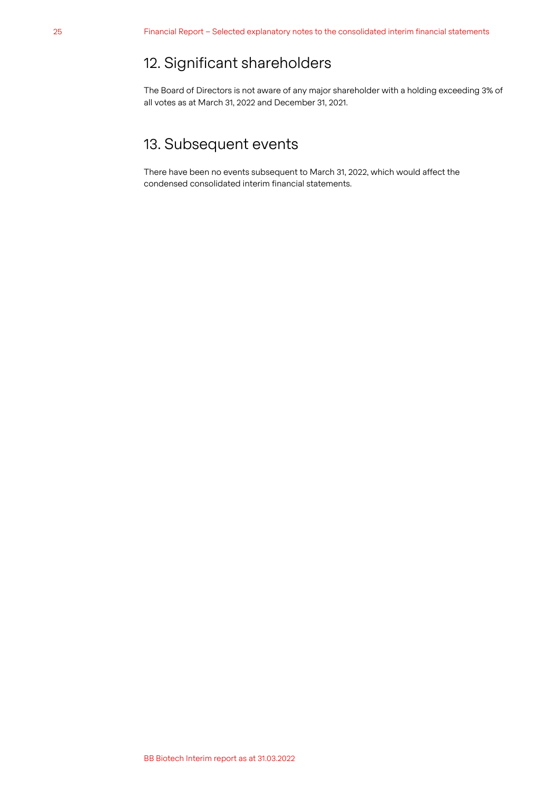## 12. Significant shareholders

The Board of Directors is not aware of any major shareholder with a holding exceeding 3% of all votes as at March 31, 2022 and December 31, 2021.

## 13. Subsequent events

There have been no events subsequent to March 31, 2022, which would affect the condensed consolidated interim financial statements.